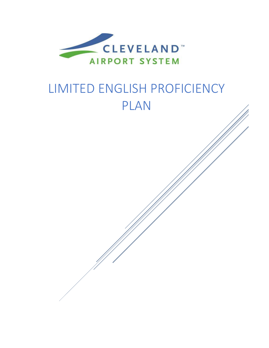

# LIMITED ENGLISH PROFICIENCY PLAN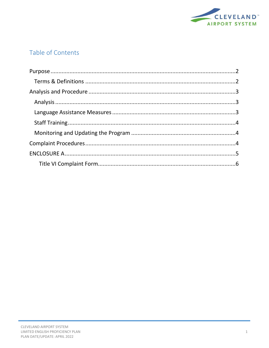

# Table of Contents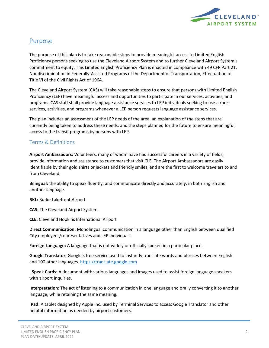

# <span id="page-2-0"></span>Purpose

The purpose of this plan is to take reasonable steps to provide meaningful access to Limited English Proficiency persons seeking to use the Cleveland Airport System and to further Cleveland Airport System's commitment to equity. This Limited English Proficiency Plan is enacted in compliance with 49 CFR Part 21, Nondiscrimination in Federally‐Assisted Programs of the Department of Transportation, Effectuation of Title VI of the Civil Rights Act of 1964.

The Cleveland Airport System (CAS) will take reasonable steps to ensure that persons with Limited English Proficiency (LEP) have meaningful access and opportunities to participate in our services, activities, and programs. CAS staff shall provide language assistance services to LEP individuals seeking to use airport services, activities, and programs whenever a LEP person requests language assistance services.

The plan includes an assessment of the LEP needs of the area, an explanation of the steps that are currently being taken to address these needs, and the steps planned for the future to ensure meaningful access to the transit programs by persons with LEP.

## <span id="page-2-1"></span>Terms & Definitions

**Airport Ambassadors:** Volunteers, many of whom have had successful careers in a variety of fields, provide information and assistance to customers that visit CLE. The Airport Ambassadors are easily identifiable by their gold shirts or jackets and friendly smiles, and are the first to welcome travelers to and from Cleveland.

**Bilingual:** the ability to speak fluently, and communicate directly and accurately, in both English and another language.

**BKL:** Burke Lakefront Airport

**CAS:** The Cleveland Airport System.

**CLE:** Cleveland Hopkins International Airport

**Direct Communication:** Monolingual communication in a language other than English between qualified City employees/representatives and LEP individuals.

**Foreign Language:** A language that is not widely or officially spoken in a particular place.

**Google Translator:** Google's free service used to instantly translate words and phrases between English and 100 other languages[. https://translate.google.com](https://translate.google.com/)

**I Speak Cards:** A document with various languages and images used to assist foreign language speakers with airport inquiries.

**Interpretation:** The act of listening to a communication in one language and orally converting it to another language, while retaining the same meaning.

**IPad:** A tablet designed by Apple Inc. used by Terminal Services to access Google Translator and other helpful information as needed by airport customers.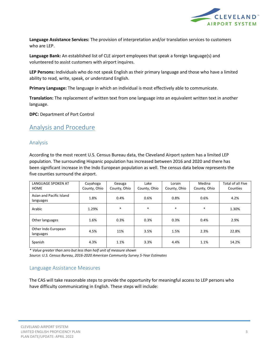

**Language Assistance Services:** The provision of interpretation and/or translation services to customers who are LEP.

**Language Bank:** An established list of CLE airport employees that speak a foreign language(s) and volunteered to assist customers with airport inquires.

**LEP Persons:** Individuals who do not speak English as their primary language and those who have a limited ability to read, write, speak, or understand English.

**Primary Language:** The language in which an individual is most effectively able to communicate.

**Translation:** The replacement of written text from one language into an equivalent written text in another language.

**DPC:** Department of Port Control

# <span id="page-3-0"></span>Analysis and Procedure

#### <span id="page-3-1"></span>Analysis

According to the most recent U.S. Census Bureau data, the Cleveland Airport system has a limited LEP population. The surrounding Hispanic population has increased between 2016 and 2020 and there has been significant increase in the Indo European population as well. The census data below represents the five counties surround the airport.

| <b>LANGUAGE SPOKEN AT</b><br><b>HOME</b> | Cuyahoga<br>County, Ohio | Geauga<br>County, Ohio | Lake<br>County, Ohio | Lorain<br>County, Ohio | Medina<br>County, Ohio | Total of all Five<br>Counties |
|------------------------------------------|--------------------------|------------------------|----------------------|------------------------|------------------------|-------------------------------|
| Asian and Pacific Island<br>languages    | 1.8%                     | 0.4%                   | 0.6%                 | 0.8%                   | 0.6%                   | 4.2%                          |
| Arabic                                   | 1.29%                    | $\ast$                 | $\ast$               | $\ast$                 | $\ast$                 | 1.30%                         |
| Other languages                          | 1.6%                     | 0.3%                   | 0.3%                 | 0.3%                   | 0.4%                   | 2.9%                          |
| Other Indo European<br>languages         | 4.5%                     | 11%                    | 3.5%                 | 1.5%                   | 2.3%                   | 22.8%                         |
| Spanish                                  | 4.3%                     | 1.1%                   | 3.3%                 | 4.4%                   | 1.1%                   | 14.2%                         |

*\* Value greater than zero but less than half unit of measure shown*

*Source: U.S. Census Bureau, 2016-2020 American Community Survey 5-Year Estimates*

#### <span id="page-3-2"></span>Language Assistance Measures

The CAS will take reasonable steps to provide the opportunity for meaningful access to LEP persons who have difficulty communicating in English. These steps will include: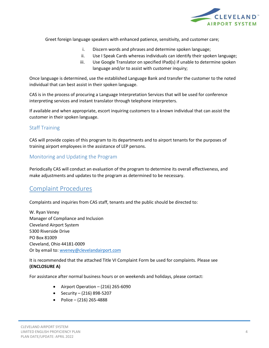

Greet foreign language speakers with enhanced patience, sensitivity, and customer care;

- i. Discern words and phrases and determine spoken language;
- ii. Use I Speak Cards whereas individuals can identify their spoken language;
- iii. Use Google Translator on specified IPad(s) if unable to determine spoken language and/or to assist with customer inquiry;

Once language is determined, use the established Language Bank and transfer the customer to the noted individual that can best assist in their spoken language.

CAS is in the process of procuring a Language Interpretation Services that will be used for conference interpreting services and instant translator through telephone interpreters.

If available and when appropriate, escort inquiring customers to a known individual that can assist the customer in their spoken language.

### <span id="page-4-0"></span>Staff Training

CAS will provide copies of this program to its departments and to airport tenants for the purposes of training airport employees in the assistance of LEP persons.

## <span id="page-4-1"></span>Monitoring and Updating the Program

Periodically CAS will conduct an evaluation of the program to determine its overall effectiveness, and make adjustments and updates to the program as determined to be necessary.

# <span id="page-4-2"></span>Complaint Procedures

Complaints and inquiries from CAS staff, tenants and the public should be directed to:

W. Ryan Veney Manager of Compliance and Inclusion Cleveland Airport System 5300 Riverside Drive PO Box 81009 Cleveland, Ohio 44181-0009 Or by email to: [wveney@clevelandairport.com](file:///C:/Users/Wveney/AppData/Roaming/Microsoft/Word/wveney@clevelandairport.com)

It is recommended that the attached Title VI Complaint Form be used for complaints. Please see **(ENCLOSURE A)**

For assistance after normal business hours or on weekends and holidays, please contact:

- Airport Operation  $-$  (216) 265-6090
- Security  $(216)$  898-5207
- Police (216) 265-4888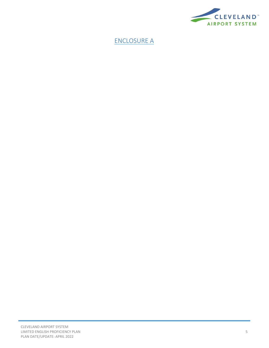

# <span id="page-5-0"></span>ENCLOSURE A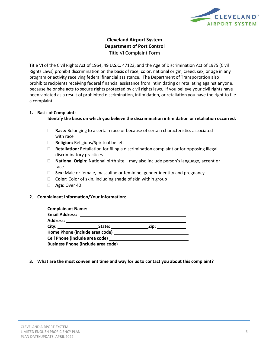

## **Cleveland Airport System Department of Port Control** Title VI Complaint Form

<span id="page-6-0"></span>Title VI of the Civil Rights Act of 1964, 49 U.S.C. 47123, and the Age of Discrimination Act of 1975 (Civil Rights Laws) prohibit discrimination on the basis of race, color, national origin, creed, sex, or age in any program or activity receiving federal financial assistance. The Department of Transportation also prohibits recipients receiving federal financial assistance from intimidating or retaliating against anyone, because he or she acts to secure rights protected by civil rights laws. If you believe your civil rights have been violated as a result of prohibited discrimination, intimidation, or retaliation you have the right to file a complaint.

#### **1. Basis of Complaint:**

**Identify the basis on which you believe the discrimination intimidation or retaliation occurred.**

- **Race:** Belonging to a certain race or because of certain characteristics associated with race
- **Religion:** Religious/Spiritual beliefs
- **Retaliation:** Retaliation for filing a discrimination complaint or for opposing illegal discriminatory practices
- **National Origin:** National birth site may also include person's language, accent or race
- **Sex:** Male or female, masculine or feminine, gender identity and pregnancy
- **Color:** Color of skin, including shade of skin within group
- **Age:** Over 40

#### **2. Complainant Information/Your Information:**

| <b>Email Address:</b> | <u> Andreas Andreas Andreas Andreas Andreas Andreas Andreas Andreas Andreas Andreas Andreas Andreas Andreas Andreas Andreas Andreas Andreas Andreas Andreas Andreas Andreas Andreas Andreas Andreas Andreas Andreas Andreas Andr</u> |                      |  |
|-----------------------|--------------------------------------------------------------------------------------------------------------------------------------------------------------------------------------------------------------------------------------|----------------------|--|
|                       |                                                                                                                                                                                                                                      |                      |  |
|                       |                                                                                                                                                                                                                                      | Zip: _______________ |  |
|                       |                                                                                                                                                                                                                                      |                      |  |
|                       |                                                                                                                                                                                                                                      |                      |  |
|                       |                                                                                                                                                                                                                                      |                      |  |
|                       |                                                                                                                                                                                                                                      |                      |  |

#### **3. What are the most convenient time and way for us to contact you about this complaint?**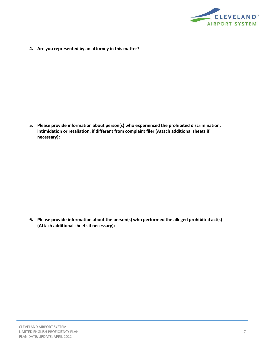

**4. Are you represented by an attorney in this matter?**

**5. Please provide information about person(s) who experienced the prohibited discrimination, intimidation or retaliation, if different from complaint filer (Attach additional sheets if necessary):**

**6. Please provide information about the person(s) who performed the alleged prohibited act(s) (Attach additional sheets if necessary):**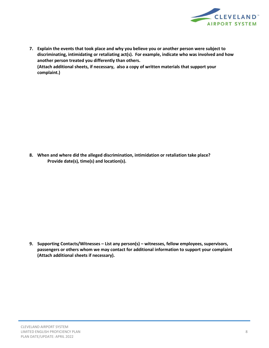

**7. Explain the events that took place and why you believe you or another person were subject to discriminating, intimidating or retaliating act(s). For example, indicate who was involved and how another person treated you differently than others. (Attach additional sheets, if necessary, also a copy of written materials that support your**

**8. When and where did the alleged discrimination, intimidation or retaliation take place? Provide date(s), time(s) and location(s).**

**9. Supporting Contacts/Witnesses – List any person(s) – witnesses, fellow employees, supervisors, passengers or others whom we may contact for additional information to support your complaint (Attach additional sheets if necessary).**

**complaint.)**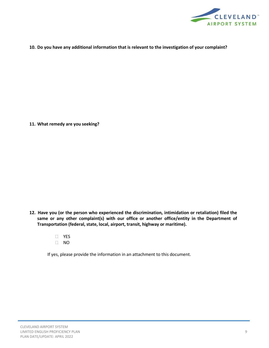

**10. Do you have any additional information that is relevant to the investigation of your complaint?**

**11. What remedy are you seeking?**

- **12. Have you (or the person who experienced the discrimination, intimidation or retaliation) filed the same or any other complaint(s) with our office or another office/entity in the Department of Transportation (federal, state, local, airport, transit, highway or maritime).**
	- YES NO
	- If yes, please provide the information in an attachment to this document.